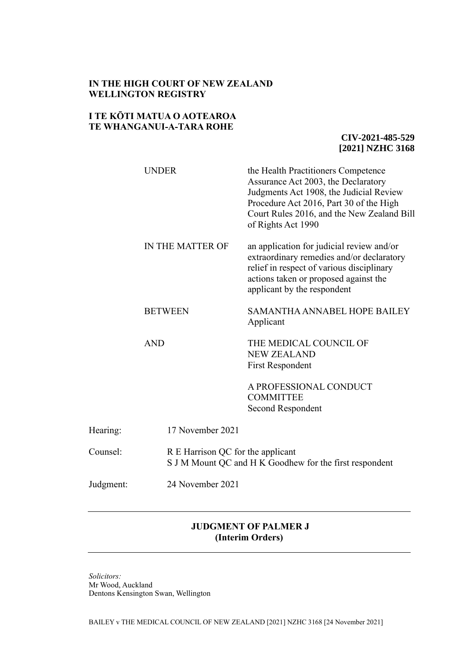## **IN THE HIGH COURT OF NEW ZEALAND WELLINGTON REGISTRY**

## **I TE KŌTI MATUA O AOTEAROA TE WHANGANUI-A-TARA ROHE**

**CIV-2021-485-529 [2021] NZHC 3168**

|           | <b>UNDER</b>     | the Health Practitioners Competence<br>Assurance Act 2003, the Declaratory<br>Judgments Act 1908, the Judicial Review<br>Procedure Act 2016, Part 30 of the High<br>Court Rules 2016, and the New Zealand Bill<br>of Rights Act 1990 |  |
|-----------|------------------|--------------------------------------------------------------------------------------------------------------------------------------------------------------------------------------------------------------------------------------|--|
|           | IN THE MATTER OF | an application for judicial review and/or<br>extraordinary remedies and/or declaratory<br>relief in respect of various disciplinary<br>actions taken or proposed against the<br>applicant by the respondent                          |  |
|           | <b>BETWEEN</b>   | <b>SAMANTHA ANNABEL HOPE BAILEY</b><br>Applicant                                                                                                                                                                                     |  |
|           | <b>AND</b>       | THE MEDICAL COUNCIL OF<br><b>NEW ZEALAND</b><br><b>First Respondent</b><br>A PROFESSIONAL CONDUCT<br><b>COMMITTEE</b><br>Second Respondent                                                                                           |  |
| Hearing:  | 17 November 2021 |                                                                                                                                                                                                                                      |  |
| Counsel:  |                  | R E Harrison QC for the applicant<br>S J M Mount QC and H K Goodhew for the first respondent                                                                                                                                         |  |
| Judgment: | 24 November 2021 |                                                                                                                                                                                                                                      |  |

# **JUDGMENT OF PALMER J (Interim Orders)**

*Solicitors:* Mr Wood, Auckland Dentons Kensington Swan, Wellington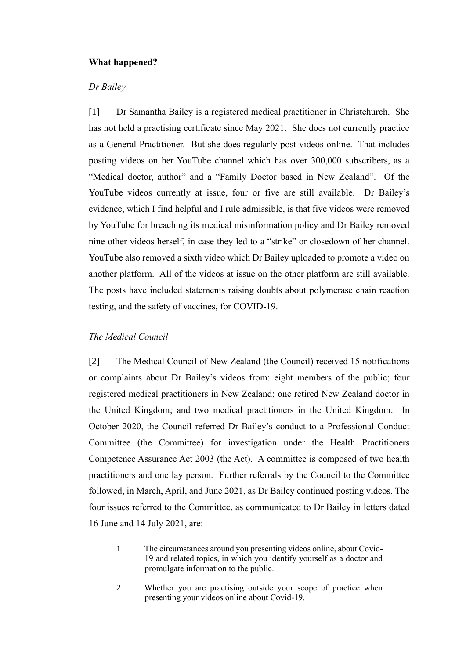## **What happened?**

## *Dr Bailey*

[1] Dr Samantha Bailey is a registered medical practitioner in Christchurch. She has not held a practising certificate since May 2021. She does not currently practice as a General Practitioner. But she does regularly post videos online. That includes posting videos on her YouTube channel which has over 300,000 subscribers, as a "Medical doctor, author" and a "Family Doctor based in New Zealand". Of the YouTube videos currently at issue, four or five are still available. Dr Bailey's evidence, which I find helpful and I rule admissible, is that five videos were removed by YouTube for breaching its medical misinformation policy and Dr Bailey removed nine other videos herself, in case they led to a "strike" or closedown of her channel. YouTube also removed a sixth video which Dr Bailey uploaded to promote a video on another platform. All of the videos at issue on the other platform are still available. The posts have included statements raising doubts about polymerase chain reaction testing, and the safety of vaccines, for COVID-19.

#### *The Medical Council*

[2] The Medical Council of New Zealand (the Council) received 15 notifications or complaints about Dr Bailey's videos from: eight members of the public; four registered medical practitioners in New Zealand; one retired New Zealand doctor in the United Kingdom; and two medical practitioners in the United Kingdom. In October 2020, the Council referred Dr Bailey's conduct to a Professional Conduct Committee (the Committee) for investigation under the Health Practitioners Competence Assurance Act 2003 (the Act). A committee is composed of two health practitioners and one lay person. Further referrals by the Council to the Committee followed, in March, April, and June 2021, as Dr Bailey continued posting videos. The four issues referred to the Committee, as communicated to Dr Bailey in letters dated 16 June and 14 July 2021, are:

- 1 The circumstances around you presenting videos online, about Covid-19 and related topics, in which you identify yourself as a doctor and promulgate information to the public.
- 2 Whether you are practising outside your scope of practice when presenting your videos online about Covid-19.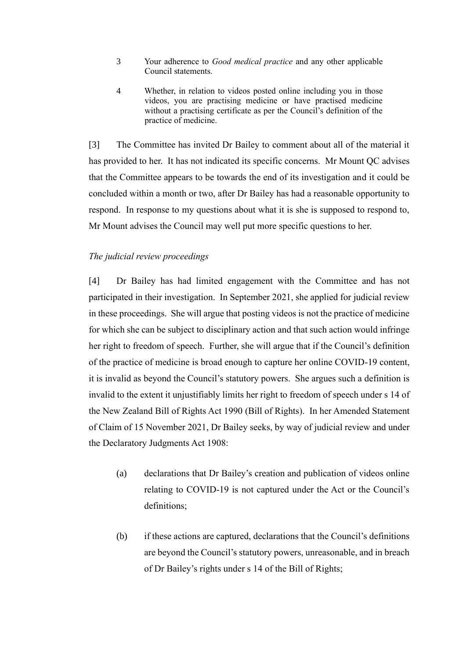- 3 Your adherence to *Good medical practice* and any other applicable Council statements.
- 4 Whether, in relation to videos posted online including you in those videos, you are practising medicine or have practised medicine without a practising certificate as per the Council's definition of the practice of medicine.

[3] The Committee has invited Dr Bailey to comment about all of the material it has provided to her. It has not indicated its specific concerns. Mr Mount QC advises that the Committee appears to be towards the end of its investigation and it could be concluded within a month or two, after Dr Bailey has had a reasonable opportunity to respond. In response to my questions about what it is she is supposed to respond to, Mr Mount advises the Council may well put more specific questions to her.

## *The judicial review proceedings*

[4] Dr Bailey has had limited engagement with the Committee and has not participated in their investigation. In September 2021, she applied for judicial review in these proceedings. She will argue that posting videos is not the practice of medicine for which she can be subject to disciplinary action and that such action would infringe her right to freedom of speech. Further, she will argue that if the Council's definition of the practice of medicine is broad enough to capture her online COVID-19 content, it is invalid as beyond the Council's statutory powers. She argues such a definition is invalid to the extent it unjustifiably limits her right to freedom of speech under s 14 of the New Zealand Bill of Rights Act 1990 (Bill of Rights). In her Amended Statement of Claim of 15 November 2021, Dr Bailey seeks, by way of judicial review and under the Declaratory Judgments Act 1908:

- (a) declarations that Dr Bailey's creation and publication of videos online relating to COVID-19 is not captured under the Act or the Council's definitions;
- (b) if these actions are captured, declarations that the Council's definitions are beyond the Council's statutory powers, unreasonable, and in breach of Dr Bailey's rights under s 14 of the Bill of Rights;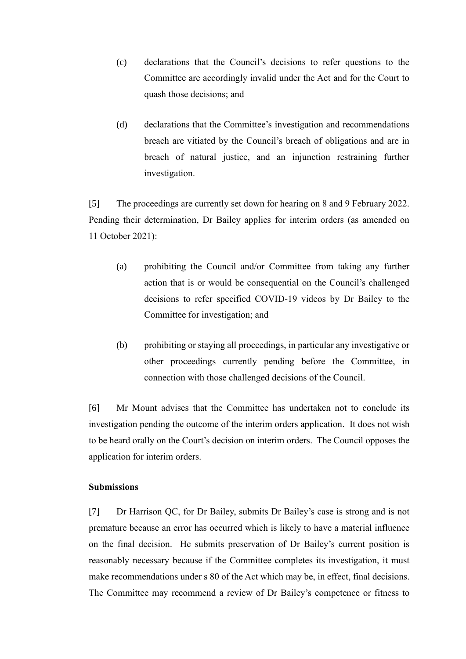- (c) declarations that the Council's decisions to refer questions to the Committee are accordingly invalid under the Act and for the Court to quash those decisions; and
- (d) declarations that the Committee's investigation and recommendations breach are vitiated by the Council's breach of obligations and are in breach of natural justice, and an injunction restraining further investigation.

[5] The proceedings are currently set down for hearing on 8 and 9 February 2022. Pending their determination, Dr Bailey applies for interim orders (as amended on 11 October 2021):

- (a) prohibiting the Council and/or Committee from taking any further action that is or would be consequential on the Council's challenged decisions to refer specified COVID-19 videos by Dr Bailey to the Committee for investigation; and
- (b) prohibiting or staying all proceedings, in particular any investigative or other proceedings currently pending before the Committee, in connection with those challenged decisions of the Council.

[6] Mr Mount advises that the Committee has undertaken not to conclude its investigation pending the outcome of the interim orders application. It does not wish to be heard orally on the Court's decision on interim orders. The Council opposes the application for interim orders.

## **Submissions**

[7] Dr Harrison QC, for Dr Bailey, submits Dr Bailey's case is strong and is not premature because an error has occurred which is likely to have a material influence on the final decision. He submits preservation of Dr Bailey's current position is reasonably necessary because if the Committee completes its investigation, it must make recommendations under s 80 of the Act which may be, in effect, final decisions. The Committee may recommend a review of Dr Bailey's competence or fitness to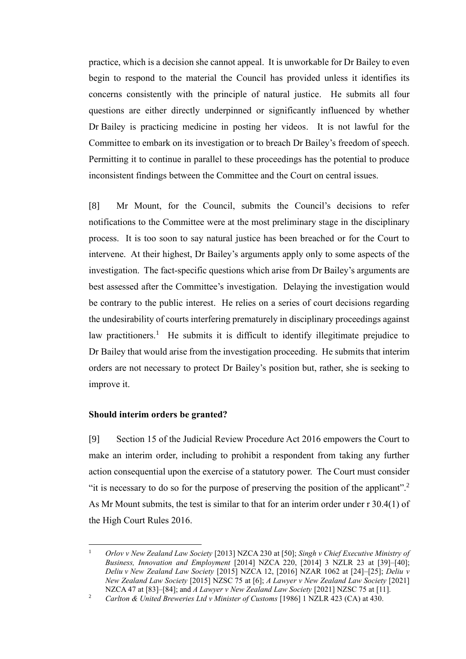practice, which is a decision she cannot appeal. It is unworkable for Dr Bailey to even begin to respond to the material the Council has provided unless it identifies its concerns consistently with the principle of natural justice. He submits all four questions are either directly underpinned or significantly influenced by whether Dr Bailey is practicing medicine in posting her videos. It is not lawful for the Committee to embark on its investigation or to breach Dr Bailey's freedom of speech. Permitting it to continue in parallel to these proceedings has the potential to produce inconsistent findings between the Committee and the Court on central issues.

[8] Mr Mount, for the Council, submits the Council's decisions to refer notifications to the Committee were at the most preliminary stage in the disciplinary process. It is too soon to say natural justice has been breached or for the Court to intervene. At their highest, Dr Bailey's arguments apply only to some aspects of the investigation. The fact-specific questions which arise from Dr Bailey's arguments are best assessed after the Committee's investigation. Delaying the investigation would be contrary to the public interest. He relies on a series of court decisions regarding the undesirability of courts interfering prematurely in disciplinary proceedings against law practitioners.<sup>1</sup> He submits it is difficult to identify illegitimate prejudice to Dr Bailey that would arise from the investigation proceeding. He submits that interim orders are not necessary to protect Dr Bailey's position but, rather, she is seeking to improve it.

## **Should interim orders be granted?**

[9] Section 15 of the Judicial Review Procedure Act 2016 empowers the Court to make an interim order, including to prohibit a respondent from taking any further action consequential upon the exercise of a statutory power. The Court must consider "it is necessary to do so for the purpose of preserving the position of the applicant".<sup>2</sup> As Mr Mount submits, the test is similar to that for an interim order under r 30.4(1) of the High Court Rules 2016.

<sup>1</sup> *Orlov v New Zealand Law Society* [2013] NZCA 230 at [50]; *Singh v Chief Executive Ministry of Business, Innovation and Employment* [2014] NZCA 220, [2014] 3 NZLR 23 at [39]–[40]; *Deliu v New Zealand Law Society* [2015] NZCA 12, [2016] NZAR 1062 at [24]–[25]; *Deliu v New Zealand Law Society* [2015] NZSC 75 at [6]; *A Lawyer v New Zealand Law Society* [2021] NZCA 47 at [83]–[84]; and *A Lawyer v New Zealand Law Society* [2021] NZSC 75 at [11].

<sup>&</sup>lt;sup>2</sup> *Carlton & United Breweries Ltd v Minister of Customs* [1986] 1 NZLR 423 (CA) at 430.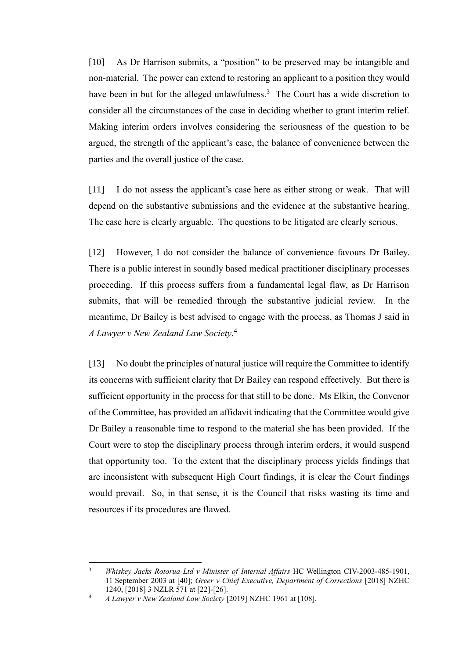[10] As Dr Harrison submits, a "position" to be preserved may be intangible and non-material. The power can extend to restoring an applicant to a position they would have been in but for the alleged unlawfulness.<sup>3</sup> The Court has a wide discretion to consider all the circumstances of the case in deciding whether to grant interim relief. Making interim orders involves considering the seriousness of the question to be argued, the strength of the applicant's case, the balance of convenience between the parties and the overall justice of the case.

[11] I do not assess the applicant's case here as either strong or weak. That will depend on the substantive submissions and the evidence at the substantive hearing. The case here is clearly arguable. The questions to be litigated are clearly serious.

[12] However, I do not consider the balance of convenience favours Dr Bailey. There is a public interest in soundly based medical practitioner disciplinary processes proceeding. If this process suffers from a fundamental legal flaw, as Dr Harrison submits, that will be remedied through the substantive judicial review. In the meantime, Dr Bailey is best advised to engage with the process, as Thomas J said in *A Lawyer v New Zealand Law Society*. 4

[13] No doubt the principles of natural justice will require the Committee to identify its concerns with sufficient clarity that Dr Bailey can respond effectively. But there is sufficient opportunity in the process for that still to be done. Ms Elkin, the Convenor of the Committee, has provided an affidavit indicating that the Committee would give Dr Bailey a reasonable time to respond to the material she has been provided. If the Court were to stop the disciplinary process through interim orders, it would suspend that opportunity too. To the extent that the disciplinary process yields findings that are inconsistent with subsequent High Court findings, it is clear the Court findings would prevail. So, in that sense, it is the Council that risks wasting its time and resources if its procedures are flawed.

<sup>3</sup> *Whiskey Jacks Rotorua Ltd v Minister of Internal Affairs* HC Wellington CIV-2003-485-1901, 11 September 2003 at [40]; *Greer v Chief Executive, Department of Corrections* [2018] NZHC 1240, [2018] 3 NZLR 571 at [22]-[26].

<sup>4</sup> *A Lawyer v New Zealand Law Society* [2019] NZHC 1961 at [108].